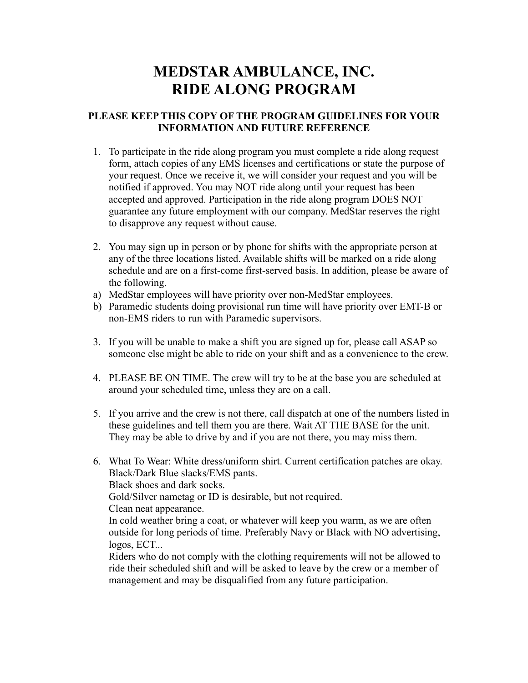## **MEDSTAR AMBULANCE, INC. RIDE ALONG PROGRAM**

## **PLEASE KEEP THIS COPY OF THE PROGRAM GUIDELINES FOR YOUR INFORMATION AND FUTURE REFERENCE**

- 1. To participate in the ride along program you must complete a ride along request form, attach copies of any EMS licenses and certifications or state the purpose of your request. Once we receive it, we will consider your request and you will be notified if approved. You may NOT ride along until your request has been accepted and approved. Participation in the ride along program DOES NOT guarantee any future employment with our company. MedStar reserves the right to disapprove any request without cause.
- 2. You may sign up in person or by phone for shifts with the appropriate person at any of the three locations listed. Available shifts will be marked on a ride along schedule and are on a first-come first-served basis. In addition, please be aware of the following.
- a) MedStar employees will have priority over non-MedStar employees.
- b) Paramedic students doing provisional run time will have priority over EMT-B or non-EMS riders to run with Paramedic supervisors.
- 3. If you will be unable to make a shift you are signed up for, please call ASAP so someone else might be able to ride on your shift and as a convenience to the crew.
- 4. PLEASE BE ON TIME. The crew will try to be at the base you are scheduled at around your scheduled time, unless they are on a call.
- 5. If you arrive and the crew is not there, call dispatch at one of the numbers listed in these guidelines and tell them you are there. Wait AT THE BASE for the unit. They may be able to drive by and if you are not there, you may miss them.
- 6. What To Wear: White dress/uniform shirt. Current certification patches are okay. Black/Dark Blue slacks/EMS pants. Black shoes and dark socks. Gold/Silver nametag or ID is desirable, but not required. Clean neat appearance. In cold weather bring a coat, or whatever will keep you warm, as we are often outside for long periods of time. Preferably Navy or Black with NO advertising, logos, ECT... Riders who do not comply with the clothing requirements will not be allowed to

ride their scheduled shift and will be asked to leave by the crew or a member of management and may be disqualified from any future participation.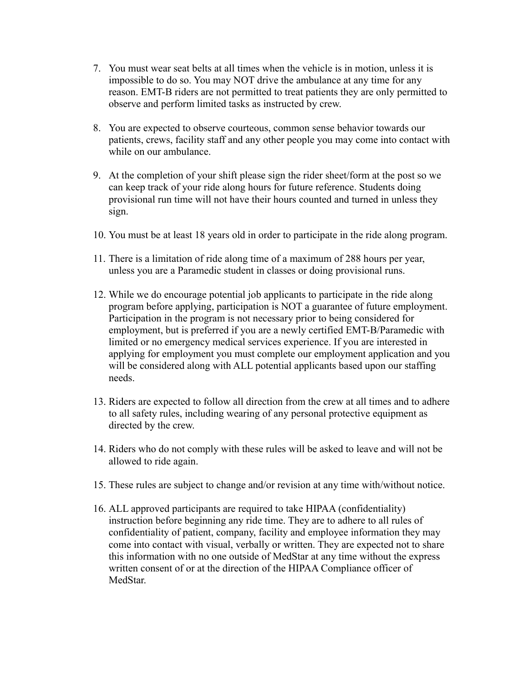- 7. You must wear seat belts at all times when the vehicle is in motion, unless it is impossible to do so. You may NOT drive the ambulance at any time for any reason. EMT-B riders are not permitted to treat patients they are only permitted to observe and perform limited tasks as instructed by crew.
- 8. You are expected to observe courteous, common sense behavior towards our patients, crews, facility staff and any other people you may come into contact with while on our ambulance.
- 9. At the completion of your shift please sign the rider sheet/form at the post so we can keep track of your ride along hours for future reference. Students doing provisional run time will not have their hours counted and turned in unless they sign.
- 10. You must be at least 18 years old in order to participate in the ride along program.
- 11. There is a limitation of ride along time of a maximum of 288 hours per year, unless you are a Paramedic student in classes or doing provisional runs.
- 12. While we do encourage potential job applicants to participate in the ride along program before applying, participation is NOT a guarantee of future employment. Participation in the program is not necessary prior to being considered for employment, but is preferred if you are a newly certified EMT-B/Paramedic with limited or no emergency medical services experience. If you are interested in applying for employment you must complete our employment application and you will be considered along with ALL potential applicants based upon our staffing needs.
- 13. Riders are expected to follow all direction from the crew at all times and to adhere to all safety rules, including wearing of any personal protective equipment as directed by the crew.
- 14. Riders who do not comply with these rules will be asked to leave and will not be allowed to ride again.
- 15. These rules are subject to change and/or revision at any time with/without notice.
- 16. ALL approved participants are required to take HIPAA (confidentiality) instruction before beginning any ride time. They are to adhere to all rules of confidentiality of patient, company, facility and employee information they may come into contact with visual, verbally or written. They are expected not to share this information with no one outside of MedStar at any time without the express written consent of or at the direction of the HIPAA Compliance officer of MedStar.